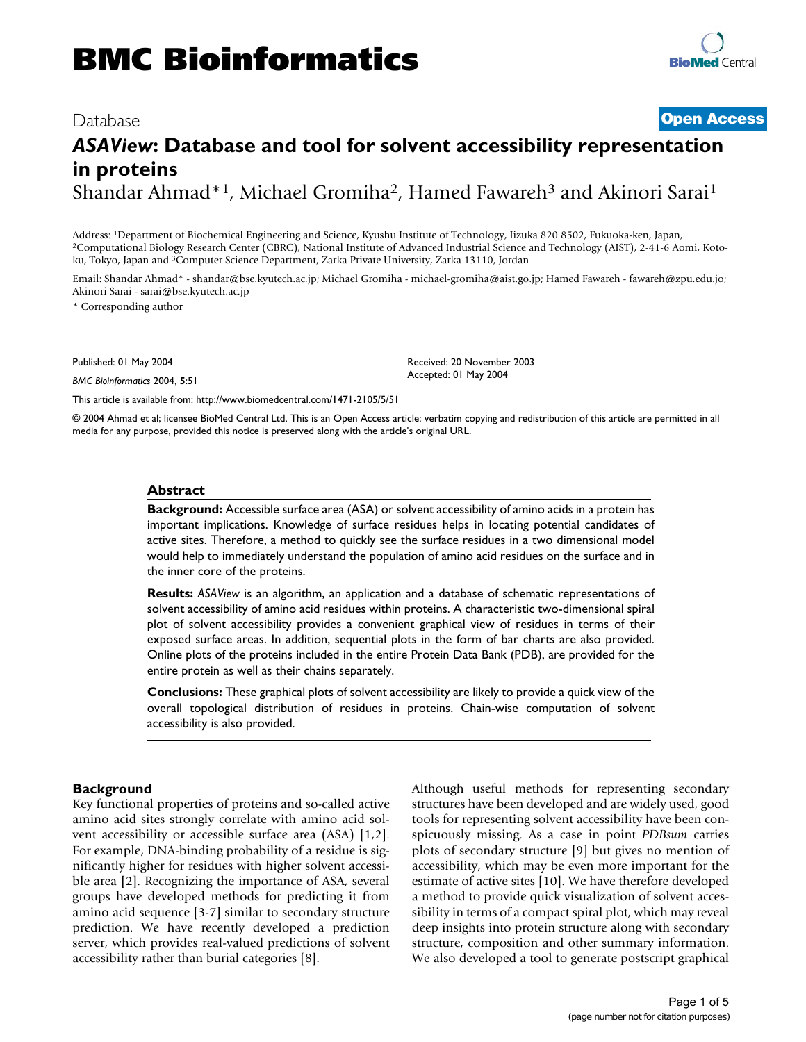# Database [Open Access](http://www.biomedcentral.com/info/about/charter/) *ASAView***: Database and tool for solvent accessibility representation in proteins** Shandar Ahmad\*<sup>1</sup>, Michael Gromiha<sup>2</sup>, Hamed Fawareh<sup>3</sup> and Akinori Sarai<sup>1</sup>

Address: <sup>1</sup>Department of Biochemical Engineering and Science, Kyushu Institute of Technology, Iizuka 820 8502, Fukuoka-ken, Japan, 2Computational Biology Research Center (CBRC), National Institute of Advanced Industrial Science and Technology (AIST), 2-41-6 Aomi, Kotoku, Tokyo, Japan and <sup>3</sup>Computer Science Department, Zarka Private University, Zarka 13110, Jordan

Email: Shandar Ahmad\* - shandar@bse.kyutech.ac.jp; Michael Gromiha - michael-gromiha@aist.go.jp; Hamed Fawareh - fawareh@zpu.edu.jo; Akinori Sarai - sarai@bse.kyutech.ac.jp

> Received: 20 November 2003 Accepted: 01 May 2004

\* Corresponding author

Published: 01 May 2004

*BMC Bioinformatics* 2004, **5**:51

[This article is available from: http://www.biomedcentral.com/1471-2105/5/51](http://www.biomedcentral.com/1471-2105/5/51)

© 2004 Ahmad et al; licensee BioMed Central Ltd. This is an Open Access article: verbatim copying and redistribution of this article are permitted in all media for any purpose, provided this notice is preserved along with the article's original URL.

#### **Abstract**

**Background:** Accessible surface area (ASA) or solvent accessibility of amino acids in a protein has important implications. Knowledge of surface residues helps in locating potential candidates of active sites. Therefore, a method to quickly see the surface residues in a two dimensional model would help to immediately understand the population of amino acid residues on the surface and in the inner core of the proteins.

**Results:** *ASAView* is an algorithm, an application and a database of schematic representations of solvent accessibility of amino acid residues within proteins. A characteristic two-dimensional spiral plot of solvent accessibility provides a convenient graphical view of residues in terms of their exposed surface areas. In addition, sequential plots in the form of bar charts are also provided. Online plots of the proteins included in the entire Protein Data Bank (PDB), are provided for the entire protein as well as their chains separately.

**Conclusions:** These graphical plots of solvent accessibility are likely to provide a quick view of the overall topological distribution of residues in proteins. Chain-wise computation of solvent accessibility is also provided.

#### **Background**

Key functional properties of proteins and so-called active amino acid sites strongly correlate with amino acid solvent accessibility or accessible surface area (ASA) [1,2]. For example, DNA-binding probability of a residue is significantly higher for residues with higher solvent accessible area [2]. Recognizing the importance of ASA, several groups have developed methods for predicting it from amino acid sequence [3-7] similar to secondary structure prediction. We have recently developed a prediction server, which provides real-valued predictions of solvent accessibility rather than burial categories [8].

Although useful methods for representing secondary structures have been developed and are widely used, good tools for representing solvent accessibility have been conspicuously missing. As a case in point *PDBsum* carries plots of secondary structure [9] but gives no mention of accessibility, which may be even more important for the estimate of active sites [10]. We have therefore developed a method to provide quick visualization of solvent accessibility in terms of a compact spiral plot, which may reveal deep insights into protein structure along with secondary structure, composition and other summary information. We also developed a tool to generate postscript graphical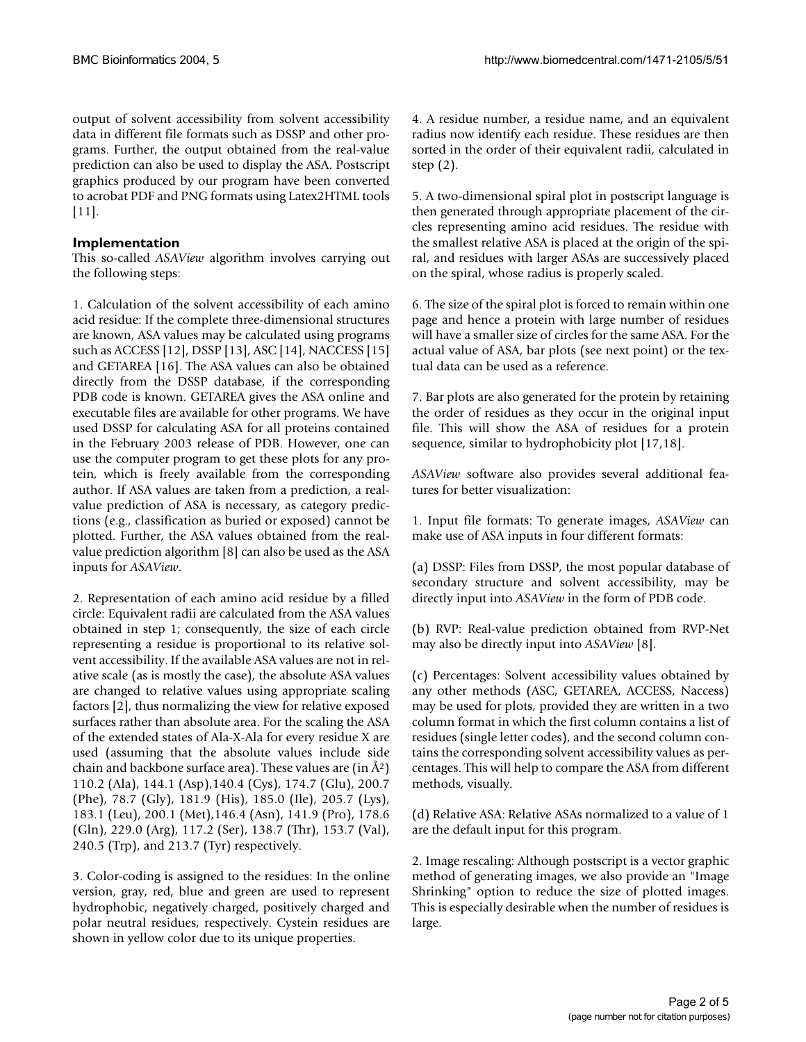output of solvent accessibility from solvent accessibility data in different file formats such as DSSP and other programs. Further, the output obtained from the real-value prediction can also be used to display the ASA. Postscript graphics produced by our program have been converted to acrobat PDF and PNG formats using Latex2HTML tools [11].

## **Implementation**

This so-called *ASAView* algorithm involves carrying out the following steps:

1. Calculation of the solvent accessibility of each amino acid residue: If the complete three-dimensional structures are known, ASA values may be calculated using programs such as ACCESS [12], DSSP [13], ASC [14], NACCESS [15] and GETAREA [16]. The ASA values can also be obtained directly from the DSSP database, if the corresponding PDB code is known. GETAREA gives the ASA online and executable files are available for other programs. We have used DSSP for calculating ASA for all proteins contained in the February 2003 release of PDB. However, one can use the computer program to get these plots for any protein, which is freely available from the corresponding author. If ASA values are taken from a prediction, a realvalue prediction of ASA is necessary, as category predictions (e.g., classification as buried or exposed) cannot be plotted. Further, the ASA values obtained from the realvalue prediction algorithm [8] can also be used as the ASA inputs for *ASAView*.

2. Representation of each amino acid residue by a filled circle: Equivalent radii are calculated from the ASA values obtained in step 1; consequently, the size of each circle representing a residue is proportional to its relative solvent accessibility. If the available ASA values are not in relative scale (as is mostly the case), the absolute ASA values are changed to relative values using appropriate scaling factors [2], thus normalizing the view for relative exposed surfaces rather than absolute area. For the scaling the ASA of the extended states of Ala-X-Ala for every residue X are used (assuming that the absolute values include side chain and backbone surface area). These values are  $(in \AA^2)$ 110.2 (Ala), 144.1 (Asp),140.4 (Cys), 174.7 (Glu), 200.7 (Phe), 78.7 (Gly), 181.9 (His), 185.0 (Ile), 205.7 (Lys), 183.1 (Leu), 200.1 (Met),146.4 (Asn), 141.9 (Pro), 178.6 (Gln), 229.0 (Arg), 117.2 (Ser), 138.7 (Thr), 153.7 (Val), 240.5 (Trp), and 213.7 (Tyr) respectively.

3. Color-coding is assigned to the residues: In the online version, gray, red, blue and green are used to represent hydrophobic, negatively charged, positively charged and polar neutral residues, respectively. Cystein residues are shown in yellow color due to its unique properties.

4. A residue number, a residue name, and an equivalent radius now identify each residue. These residues are then sorted in the order of their equivalent radii, calculated in step (2).

5. A two-dimensional spiral plot in postscript language is then generated through appropriate placement of the circles representing amino acid residues. The residue with the smallest relative ASA is placed at the origin of the spiral, and residues with larger ASAs are successively placed on the spiral, whose radius is properly scaled.

6. The size of the spiral plot is forced to remain within one page and hence a protein with large number of residues will have a smaller size of circles for the same ASA. For the actual value of ASA, bar plots (see next point) or the textual data can be used as a reference.

7. Bar plots are also generated for the protein by retaining the order of residues as they occur in the original input file. This will show the ASA of residues for a protein sequence, similar to hydrophobicity plot [17,18].

*ASAView* software also provides several additional features for better visualization:

1. Input file formats: To generate images, *ASAView* can make use of ASA inputs in four different formats:

(a) DSSP: Files from DSSP, the most popular database of secondary structure and solvent accessibility, may be directly input into *ASAView* in the form of PDB code.

(b) RVP: Real-value prediction obtained from RVP-Net may also be directly input into *ASAView* [8].

(c) Percentages: Solvent accessibility values obtained by any other methods (ASC, GETAREA, ACCESS, Naccess) may be used for plots, provided they are written in a two column format in which the first column contains a list of residues (single letter codes), and the second column contains the corresponding solvent accessibility values as percentages. This will help to compare the ASA from different methods, visually.

(d) Relative ASA: Relative ASAs normalized to a value of 1 are the default input for this program.

2. Image rescaling: Although postscript is a vector graphic method of generating images, we also provide an "Image Shrinking" option to reduce the size of plotted images. This is especially desirable when the number of residues is large.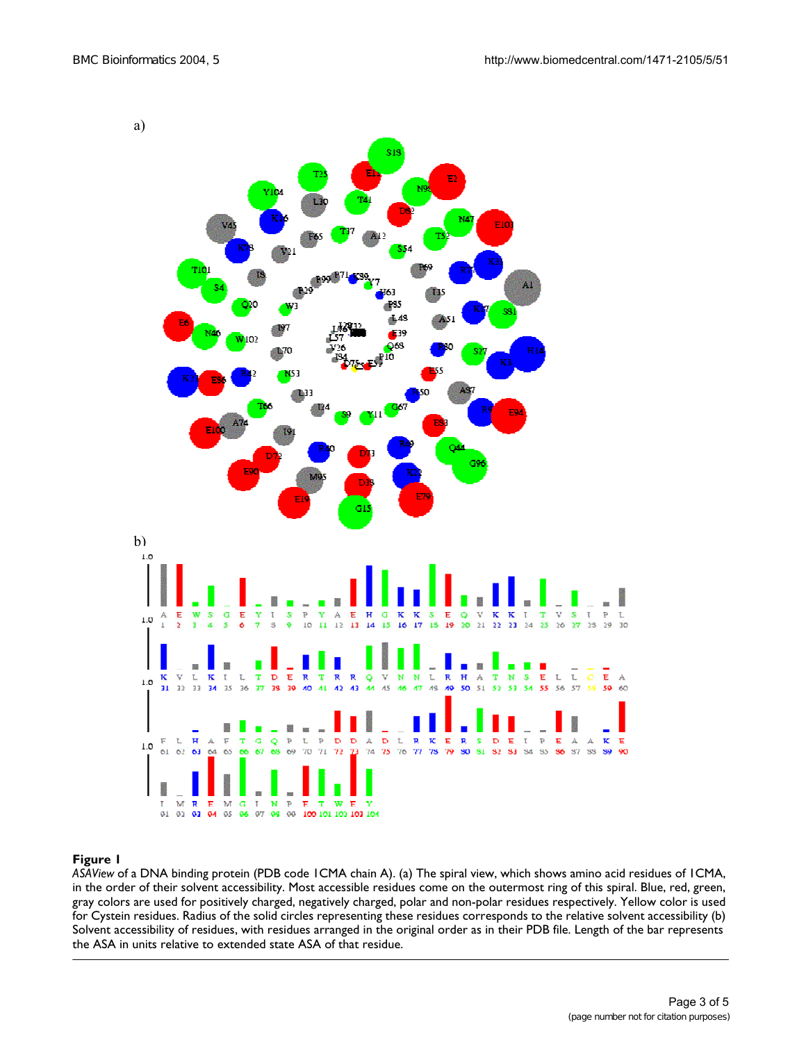

## **Figure 1**

*ASAView* of a DNA binding protein (PDB code 1CMA chain A). (a) The spiral view, which shows amino acid residues of 1CMA, in the order of their solvent accessibility. Most accessible residues come on the outermost ring of this spiral. Blue, red, green, gray colors are used for positively charged, negatively charged, polar and non-polar residues respectively. Yellow color is used for Cystein residues. Radius of the solid circles representing these residues corresponds to the relative solvent accessibility (b) Solvent accessibility of residues, with residues arranged in the original order as in their PDB file. Length of the bar represents the ASA in units relative to extended state ASA of that residue.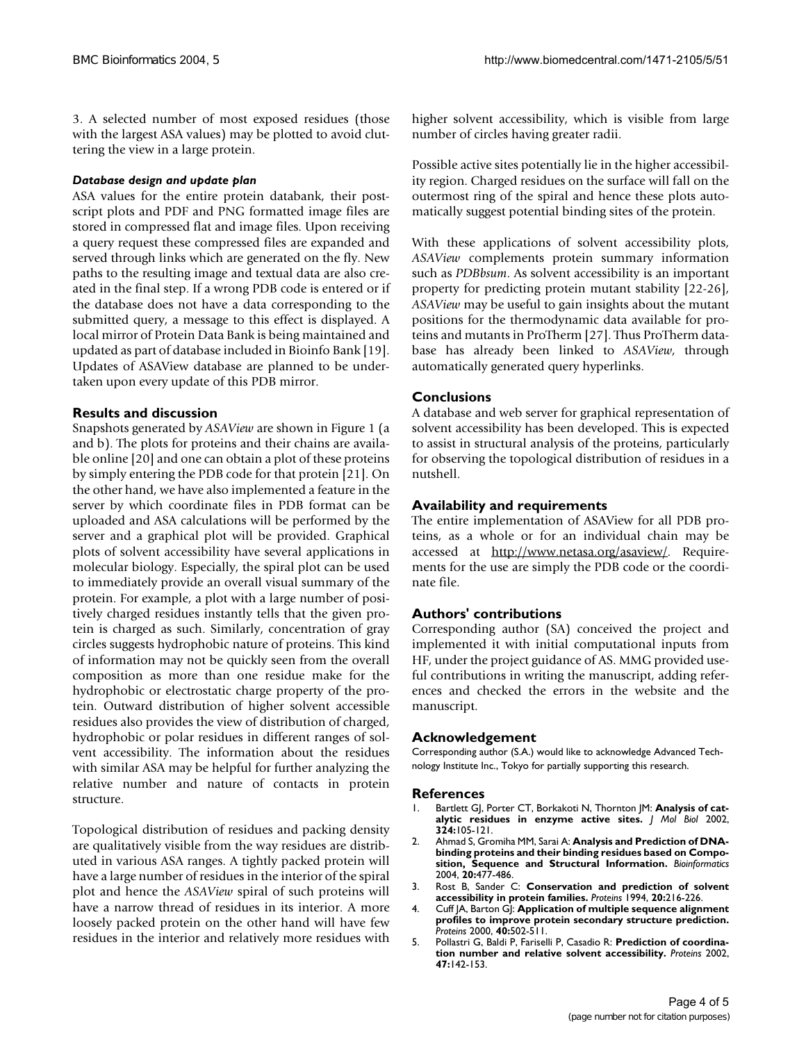3. A selected number of most exposed residues (those with the largest ASA values) may be plotted to avoid cluttering the view in a large protein.

#### *Database design and update plan*

ASA values for the entire protein databank, their postscript plots and PDF and PNG formatted image files are stored in compressed flat and image files. Upon receiving a query request these compressed files are expanded and served through links which are generated on the fly. New paths to the resulting image and textual data are also created in the final step. If a wrong PDB code is entered or if the database does not have a data corresponding to the submitted query, a message to this effect is displayed. A local mirror of Protein Data Bank is being maintained and updated as part of database included in Bioinfo Bank [19]. Updates of ASAView database are planned to be undertaken upon every update of this PDB mirror.

#### **Results and discussion**

Snapshots generated by *ASAView* are shown in Figure 1 (a and b). The plots for proteins and their chains are available online [20] and one can obtain a plot of these proteins by simply entering the PDB code for that protein [21]. On the other hand, we have also implemented a feature in the server by which coordinate files in PDB format can be uploaded and ASA calculations will be performed by the server and a graphical plot will be provided. Graphical plots of solvent accessibility have several applications in molecular biology. Especially, the spiral plot can be used to immediately provide an overall visual summary of the protein. For example, a plot with a large number of positively charged residues instantly tells that the given protein is charged as such. Similarly, concentration of gray circles suggests hydrophobic nature of proteins. This kind of information may not be quickly seen from the overall composition as more than one residue make for the hydrophobic or electrostatic charge property of the protein. Outward distribution of higher solvent accessible residues also provides the view of distribution of charged, hydrophobic or polar residues in different ranges of solvent accessibility. The information about the residues with similar ASA may be helpful for further analyzing the relative number and nature of contacts in protein structure.

Topological distribution of residues and packing density are qualitatively visible from the way residues are distributed in various ASA ranges. A tightly packed protein will have a large number of residues in the interior of the spiral plot and hence the *ASAView* spiral of such proteins will have a narrow thread of residues in its interior. A more loosely packed protein on the other hand will have few residues in the interior and relatively more residues with higher solvent accessibility, which is visible from large number of circles having greater radii.

Possible active sites potentially lie in the higher accessibility region. Charged residues on the surface will fall on the outermost ring of the spiral and hence these plots automatically suggest potential binding sites of the protein.

With these applications of solvent accessibility plots, *ASAView* complements protein summary information such as *PDBbsum*. As solvent accessibility is an important property for predicting protein mutant stability [22-26], *ASAView* may be useful to gain insights about the mutant positions for the thermodynamic data available for proteins and mutants in ProTherm [27]. Thus ProTherm database has already been linked to *ASAView*, through automatically generated query hyperlinks.

### **Conclusions**

A database and web server for graphical representation of solvent accessibility has been developed. This is expected to assist in structural analysis of the proteins, particularly for observing the topological distribution of residues in a nutshell.

#### **Availability and requirements**

The entire implementation of ASAView for all PDB proteins, as a whole or for an individual chain may be accessed at <http://www.netasa.org/asaview/>. Requirements for the use are simply the PDB code or the coordinate file.

#### **Authors' contributions**

Corresponding author (SA) conceived the project and implemented it with initial computational inputs from HF, under the project guidance of AS. MMG provided useful contributions in writing the manuscript, adding references and checked the errors in the website and the manuscript.

#### **Acknowledgement**

Corresponding author (S.A.) would like to acknowledge Advanced Technology Institute Inc., Tokyo for partially supporting this research.

#### **References**

- 1. Bartlett GJ, Porter CT, Borkakoti N, Thornton JM: **[Analysis of cat](http://www.ncbi.nlm.nih.gov/entrez/query.fcgi?cmd=Retrieve&db=PubMed&dopt=Abstract&list_uids=10.1016/S0022-2836(02)01036-7)[alytic residues in enzyme active sites](http://www.ncbi.nlm.nih.gov/entrez/query.fcgi?cmd=Retrieve&db=PubMed&dopt=Abstract&list_uids=10.1016/S0022-2836(02)01036-7)[.](http://www.ncbi.nlm.nih.gov/entrez/query.fcgi?cmd=Retrieve&db=PubMed&dopt=Abstract&list_uids=12421562)** *J Mol Biol* 2002, **324:**105-121.
- 2. Ahmad S, Gromiha MM, Sarai A: **[Analysis and Prediction of DNA](http://www.ncbi.nlm.nih.gov/entrez/query.fcgi?cmd=Retrieve&db=PubMed&dopt=Abstract&list_uids=10.1093/bioinformatics/btg432)[binding proteins and their binding residues based on Compo](http://www.ncbi.nlm.nih.gov/entrez/query.fcgi?cmd=Retrieve&db=PubMed&dopt=Abstract&list_uids=10.1093/bioinformatics/btg432)[sition, Sequence and Structural Information](http://www.ncbi.nlm.nih.gov/entrez/query.fcgi?cmd=Retrieve&db=PubMed&dopt=Abstract&list_uids=10.1093/bioinformatics/btg432)[.](http://www.ncbi.nlm.nih.gov/entrez/query.fcgi?cmd=Retrieve&db=PubMed&dopt=Abstract&list_uids=14990443)** *Bioinformatics* 2004, **20:**477-486.
- 3. Rost B, Sander C: **[Conservation and prediction of solvent](http://www.ncbi.nlm.nih.gov/entrez/query.fcgi?cmd=Retrieve&db=PubMed&dopt=Abstract&list_uids=7892171) [accessibility in protein families.](http://www.ncbi.nlm.nih.gov/entrez/query.fcgi?cmd=Retrieve&db=PubMed&dopt=Abstract&list_uids=7892171)** *Proteins* 1994, **20:**216-226.
- 4. Cuff JA, Barton GJ: **[Application of multiple sequence alignment](http://www.ncbi.nlm.nih.gov/entrez/query.fcgi?cmd=Retrieve&db=PubMed&dopt=Abstract&list_uids=10.1002/1097-0134(20000815)40:3<502::AID-PROT170>3.0.CO;2-Q) [profiles to improve protein secondary structure prediction](http://www.ncbi.nlm.nih.gov/entrez/query.fcgi?cmd=Retrieve&db=PubMed&dopt=Abstract&list_uids=10.1002/1097-0134(20000815)40:3<502::AID-PROT170>3.0.CO;2-Q)[.](http://www.ncbi.nlm.nih.gov/entrez/query.fcgi?cmd=Retrieve&db=PubMed&dopt=Abstract&list_uids=10861942)** *Proteins* 2000, **40:**502-511.
- 5. Pollastri G, Baldi P, Fariselli P, Casadio R: **[Prediction of coordina](http://www.ncbi.nlm.nih.gov/entrez/query.fcgi?cmd=Retrieve&db=PubMed&dopt=Abstract&list_uids=10.1002/prot.10069)[tion number and relative solvent accessibility](http://www.ncbi.nlm.nih.gov/entrez/query.fcgi?cmd=Retrieve&db=PubMed&dopt=Abstract&list_uids=10.1002/prot.10069)[.](http://www.ncbi.nlm.nih.gov/entrez/query.fcgi?cmd=Retrieve&db=PubMed&dopt=Abstract&list_uids=11933061)** *Proteins* 2002, **47:**142-153.